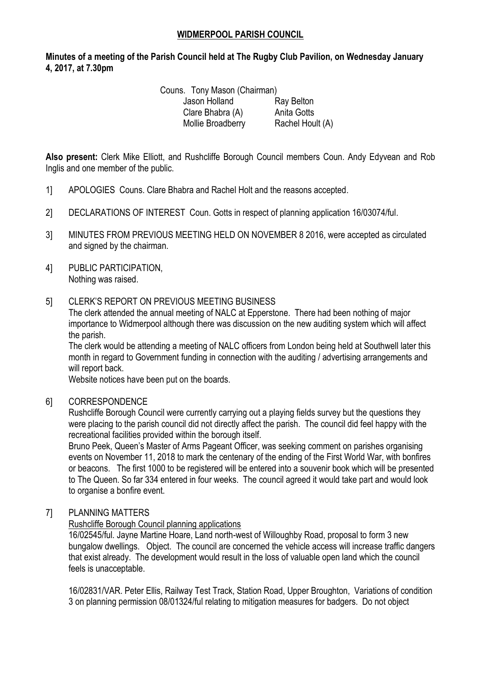## **WIDMERPOOL PARISH COUNCIL**

# **Minutes of a meeting of the Parish Council held at The Rugby Club Pavilion, on Wednesday January 4, 2017, at 7.30pm**

Couns. Tony Mason (Chairman) Jason Holland Ray Belton Clare Bhabra (A) Anita Gotts Mollie Broadberry Rachel Hoult (A)

**Also present:** Clerk Mike Elliott, and Rushcliffe Borough Council members Coun. Andy Edyvean and Rob Inglis and one member of the public.

- 1] APOLOGIES Couns. Clare Bhabra and Rachel Holt and the reasons accepted.
- 2] DECLARATIONS OF INTEREST Coun. Gotts in respect of planning application 16/03074/ful.
- 3] MINUTES FROM PREVIOUS MEETING HELD ON NOVEMBER 8 2016, were accepted as circulated and signed by the chairman.
- 4] PUBLIC PARTICIPATION, Nothing was raised.

#### 5] CLERK'S REPORT ON PREVIOUS MEETING BUSINESS

The clerk attended the annual meeting of NALC at Epperstone. There had been nothing of major importance to Widmerpool although there was discussion on the new auditing system which will affect the parish.

The clerk would be attending a meeting of NALC officers from London being held at Southwell later this month in regard to Government funding in connection with the auditing / advertising arrangements and will report back.

Website notices have been put on the boards.

#### 6] CORRESPONDENCE

Rushcliffe Borough Council were currently carrying out a playing fields survey but the questions they were placing to the parish council did not directly affect the parish. The council did feel happy with the recreational facilities provided within the borough itself.

Bruno Peek, Queen's Master of Arms Pageant Officer, was seeking comment on parishes organising events on November 11, 2018 to mark the centenary of the ending of the First World War, with bonfires or beacons. The first 1000 to be registered will be entered into a souvenir book which will be presented to The Queen. So far 334 entered in four weeks. The council agreed it would take part and would look to organise a bonfire event.

### 7] PLANNING MATTERS

#### Rushcliffe Borough Council planning applications

16/02545/ful. Jayne Martine Hoare, Land north-west of Willoughby Road, proposal to form 3 new bungalow dwellings. Object. The council are concerned the vehicle access will increase traffic dangers that exist already. The development would result in the loss of valuable open land which the council feels is unacceptable.

16/02831/VAR. Peter Ellis, Railway Test Track, Station Road, Upper Broughton, Variations of condition 3 on planning permission 08/01324/ful relating to mitigation measures for badgers. Do not object